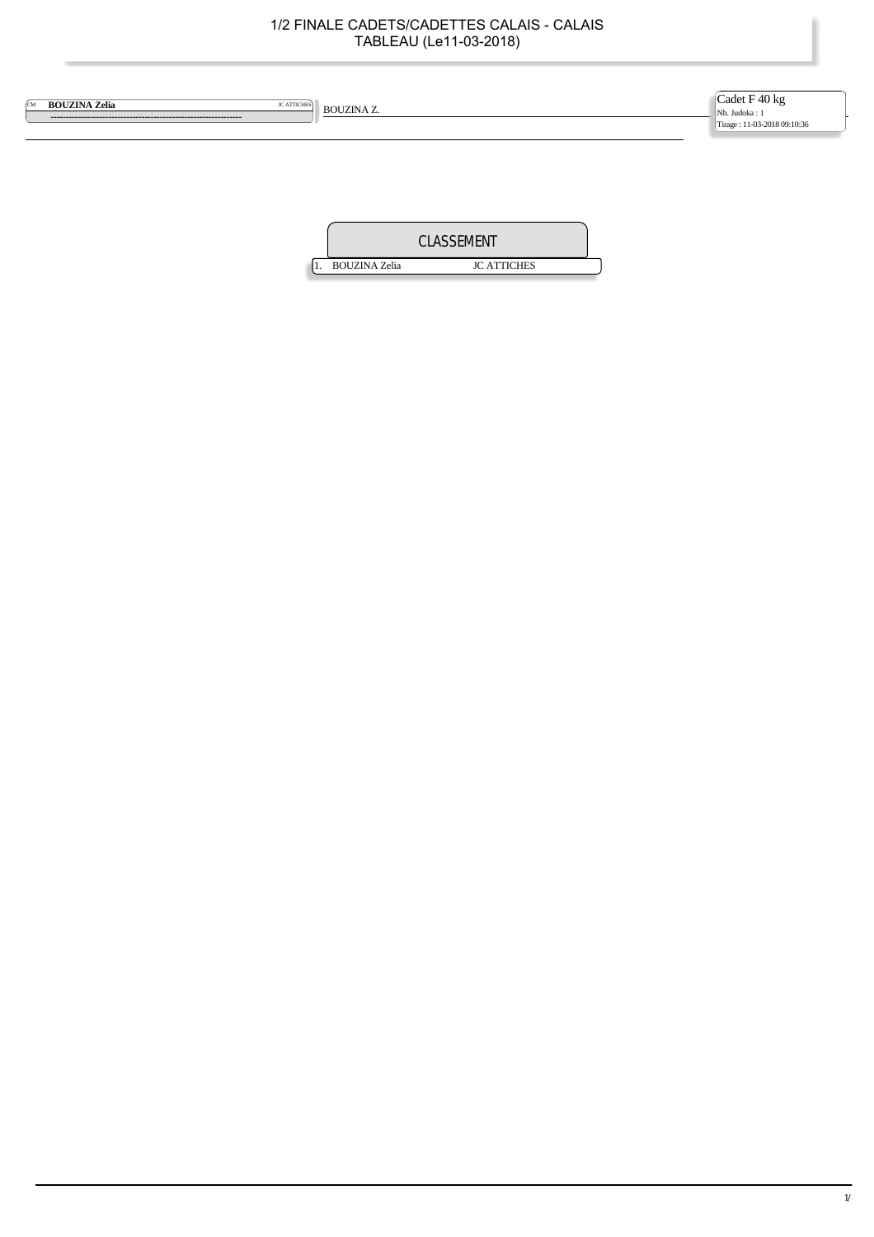| <b>BOUZINA Zelia</b><br><b>JC ATTICHES</b><br><b>CM</b> | <b>BOUZINA Z.</b> | Cadet F 40 kg<br>Nb. Judoka: 1<br>Tirage: 11-03-2018 09:10:36 |
|---------------------------------------------------------|-------------------|---------------------------------------------------------------|
|                                                         |                   |                                                               |
|                                                         | <b>CLASSEMENT</b> |                                                               |

1. BOUZINA Zelia JC ATTICHES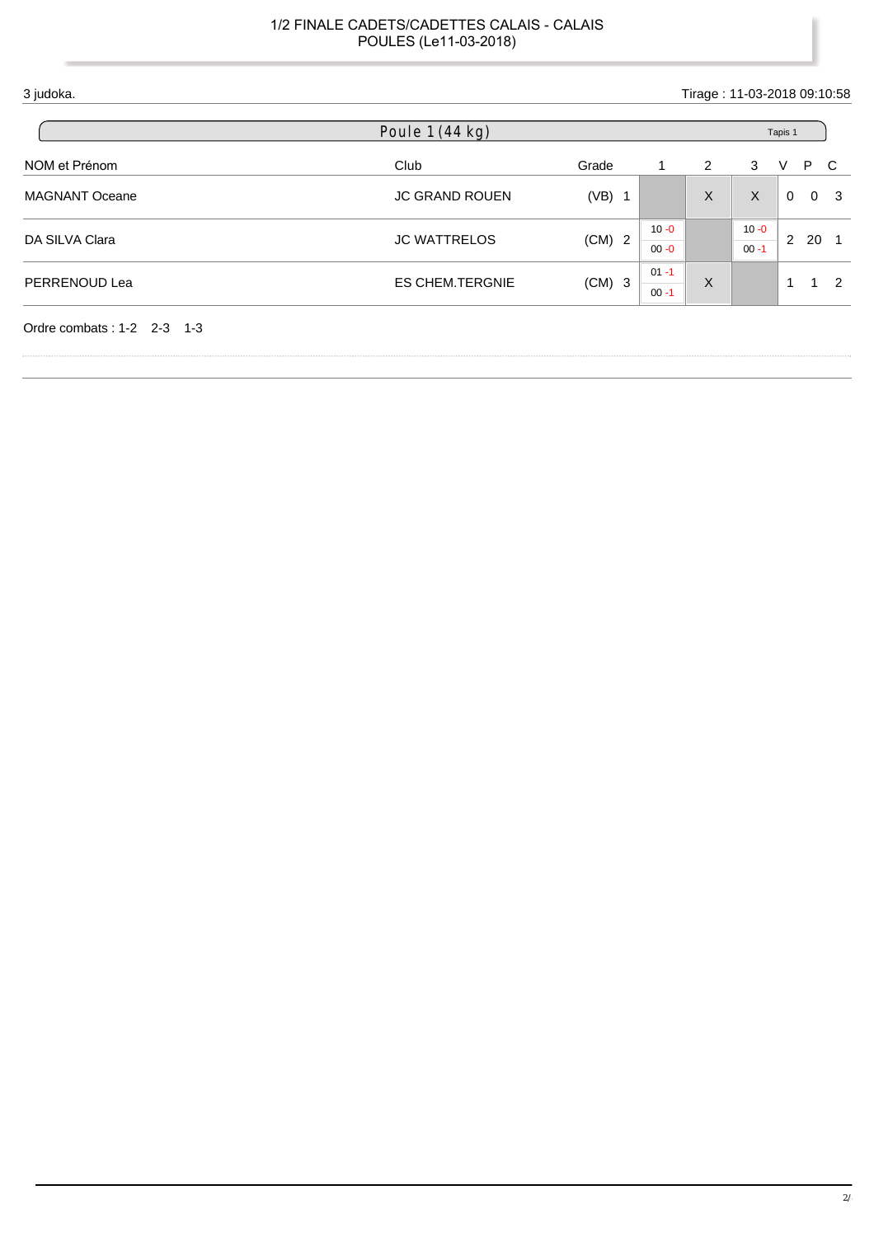| 3 judoka.                  |                        | Tirage: 11-03-2018 09:10:58 |                      |   |                      |             |                     |
|----------------------------|------------------------|-----------------------------|----------------------|---|----------------------|-------------|---------------------|
|                            | Poule 1 (44 kg)        |                             |                      |   | Tapis 1              |             |                     |
| NOM et Prénom              | Club                   | Grade                       |                      | 2 | 3                    | P.<br>V     | C                   |
| <b>MAGNANT Oceane</b>      | <b>JC GRAND ROUEN</b>  | $(VB)$ 1                    |                      | X | X                    | $\mathbf 0$ | 0 <sup>3</sup>      |
| DA SILVA Clara             | <b>JC WATTRELOS</b>    | $(CM)$ 2                    | $10 - 0$<br>$00 - 0$ |   | $10 - 0$<br>$00 - 1$ | 2           | 20                  |
| PERRENOUD Lea              | <b>ES CHEM.TERGNIE</b> | $(CM)$ 3                    | $01 - 1$<br>$00 - 1$ | X |                      | -1          | $\overline{2}$<br>1 |
| Ordre combats: 1-2 2-3 1-3 |                        |                             |                      |   |                      |             |                     |

ï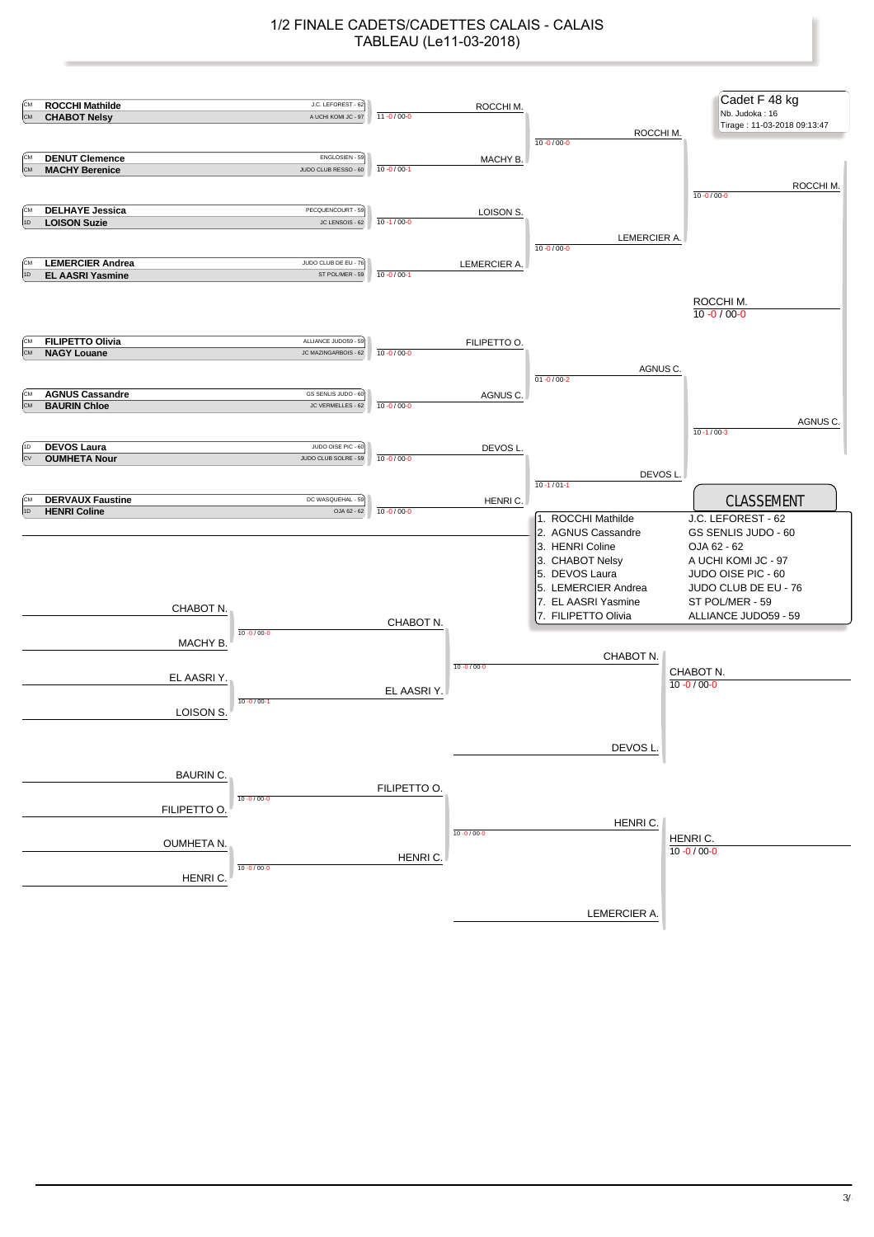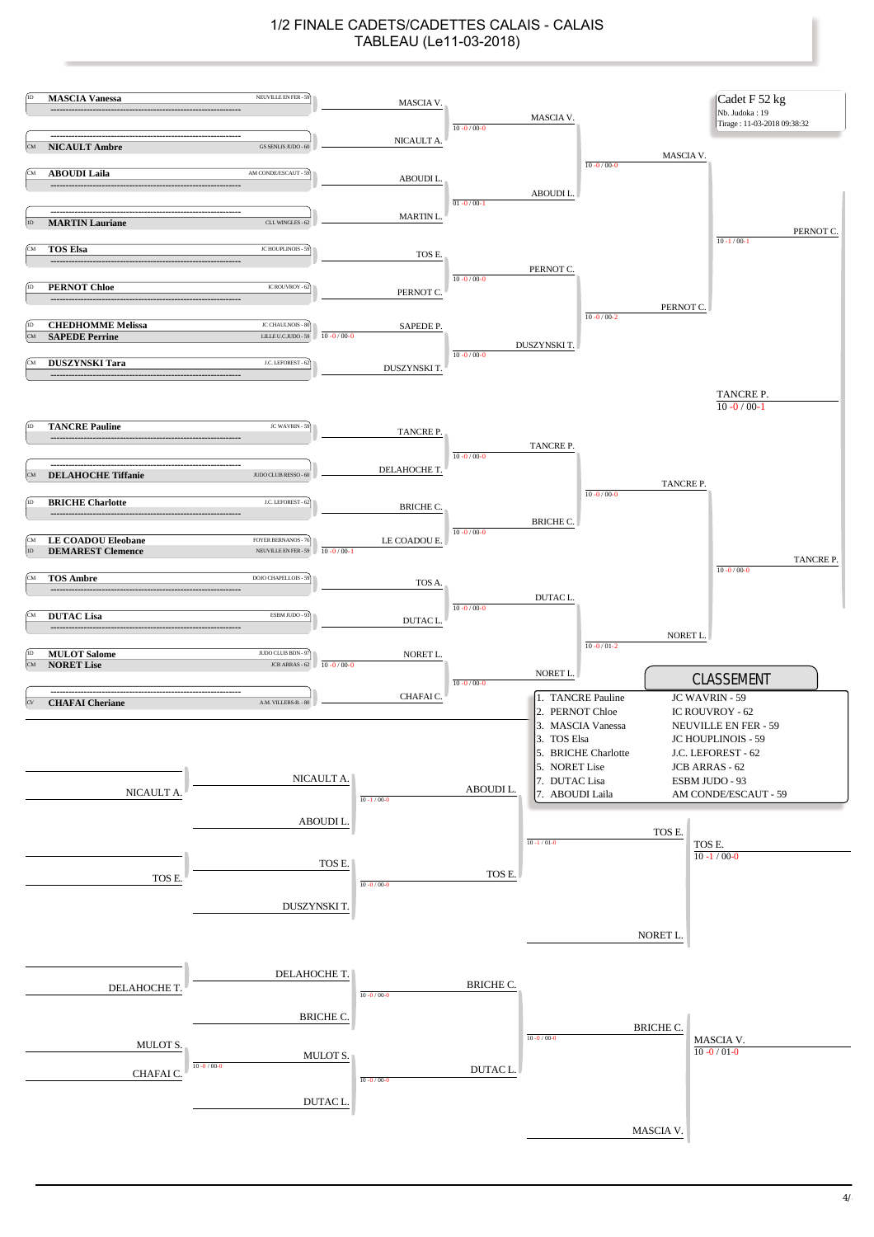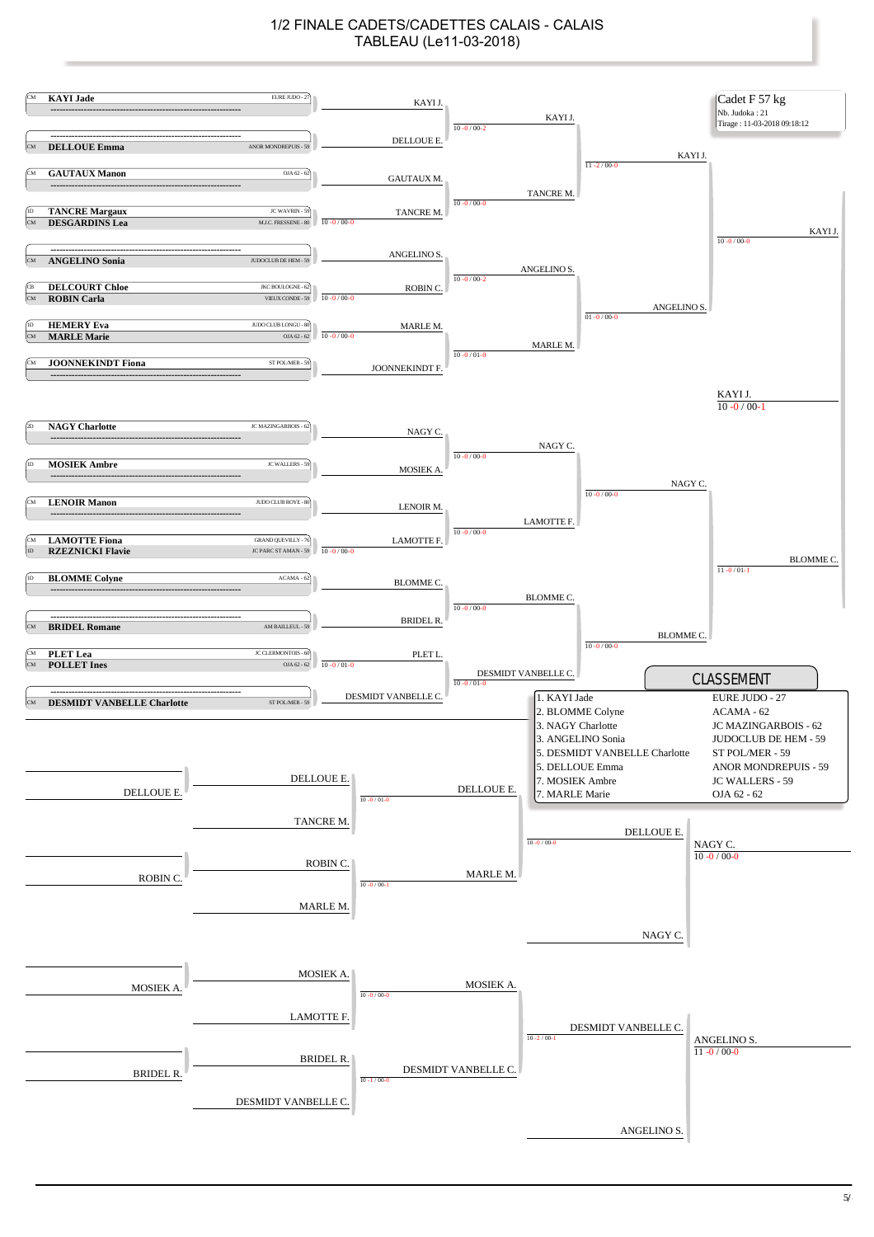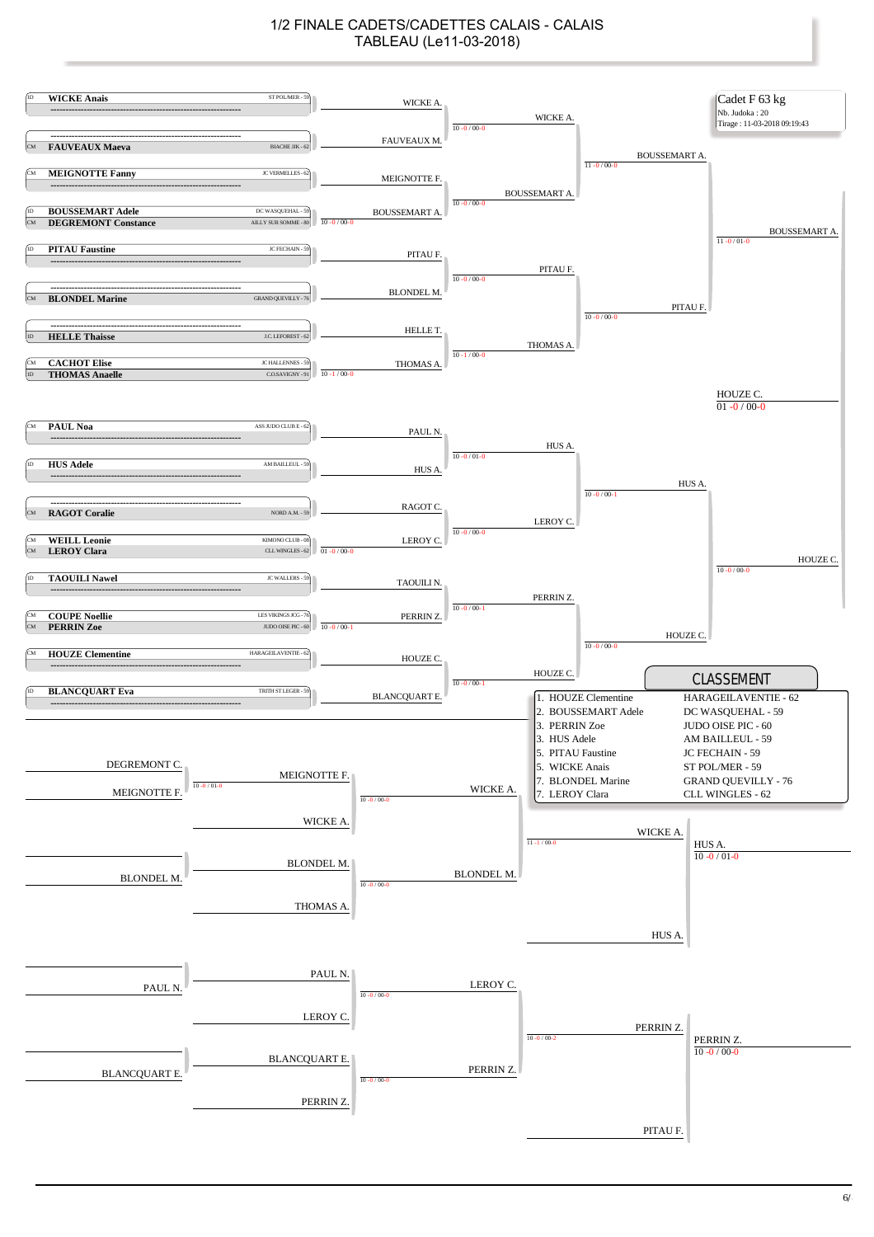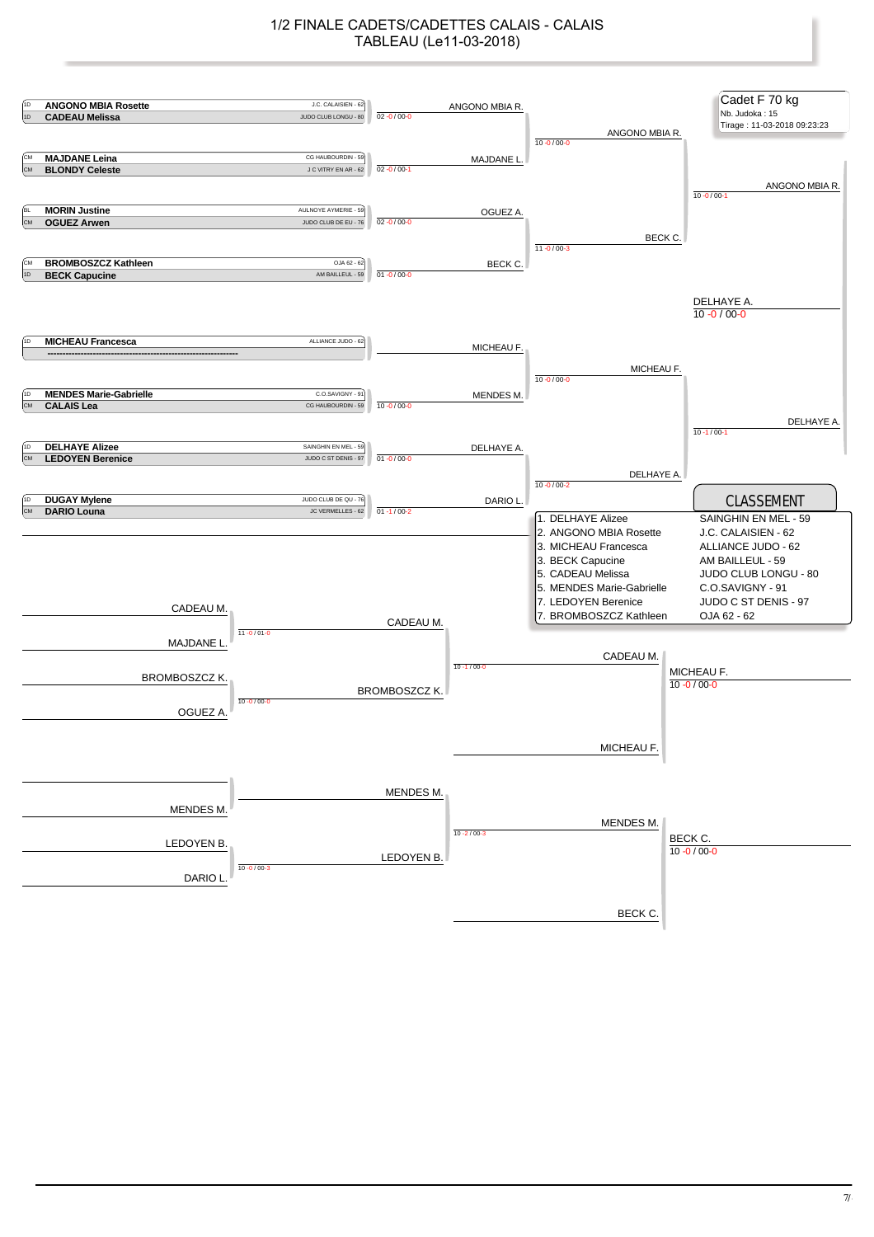